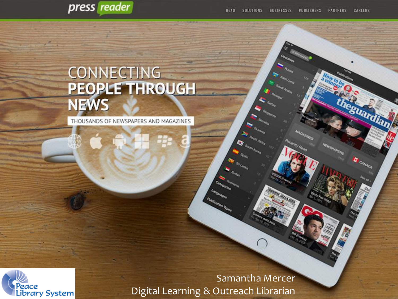rdiam



# CONNECTING<br>PEOPLE THROUGH

THOUSANDS OF NEWSPAPERS AND MAGAZINES



Samantha Mercer Digital Learning & Outreach Librarian

**PARTIES** 

۰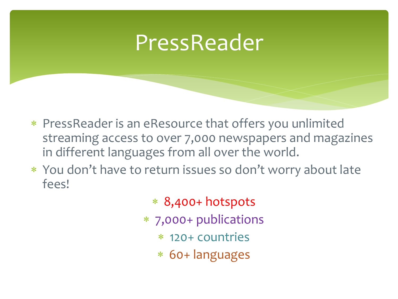#### PressReader

- PressReader is an eResource that offers you unlimited streaming access to over 7,000 newspapers and magazines in different languages from all over the world.
- You don't have to return issues so don't worry about late fees!
	- 8,400+ hotspots
	- 7,000+ publications
		- 120+ countries
		- 60+ languages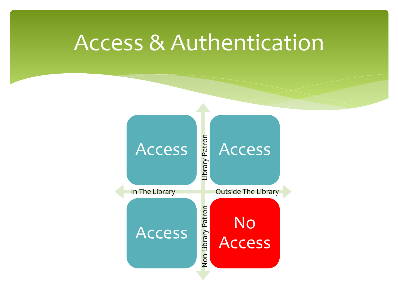#### Access & Authentication

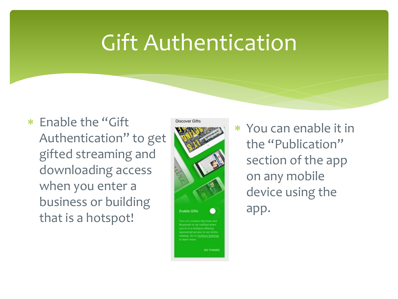## Gift Authentication

 Enable the "Gift Authentication" to get gifted streaming and downloading access when you enter a business or building that is a hotspot!



 You can enable it in the "Publication" section of the app on any mobile device using the app.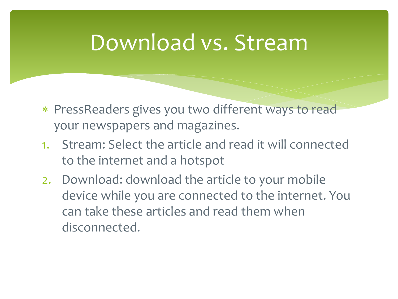### Download vs. Stream

- PressReaders gives you two different ways to read your newspapers and magazines.
- 1. Stream: Select the article and read it will connected to the internet and a hotspot
- 2. Download: download the article to your mobile device while you are connected to the internet. You can take these articles and read them when disconnected.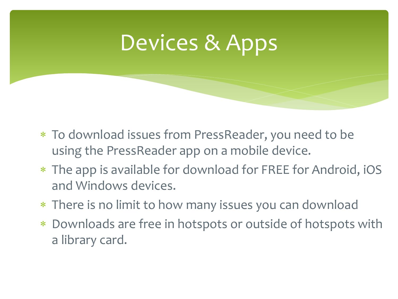## Devices & Apps

- To download issues from PressReader, you need to be using the PressReader app on a mobile device.
- The app is available for download for FREE for Android, iOS and Windows devices.
- There is no limit to how many issues you can download
- Downloads are free in hotspots or outside of hotspots with a library card.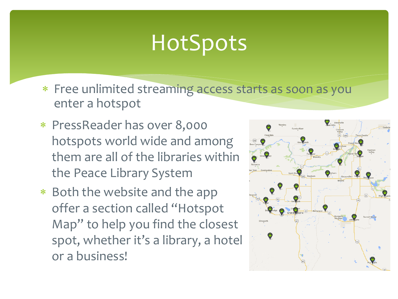# **HotSpots**

- Free unlimited streaming access starts as soon as you enter a hotspot
- PressReader has over 8,000 hotspots world wide and among them are all of the libraries within the Peace Library System
- \* Both the website and the app offer a section called "Hotspot Map" to help you find the closest spot, whether it's a library, a hotel or a business!

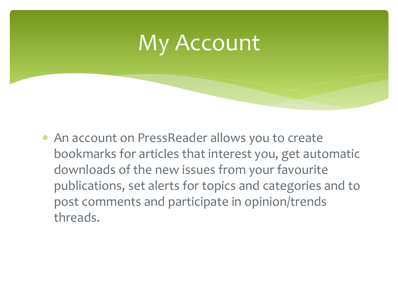

 An account on PressReader allows you to create bookmarks for articles that interest you, get automatic downloads of the new issues from your favourite publications, set alerts for topics and categories and to post comments and participate in opinion/trends threads.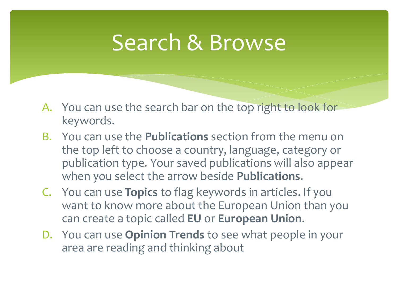## Search & Browse

- A. You can use the search bar on the top right to look for keywords.
- B. You can use the **Publications** section from the menu on the top left to choose a country, language, category or publication type. Your saved publications will also appear when you select the arrow beside **Publications**.
- C. You can use **Topics** to flag keywords in articles. If you want to know more about the European Union than you can create a topic called **EU** or **European Union**.
- D. You can use **Opinion Trends** to see what people in your area are reading and thinking about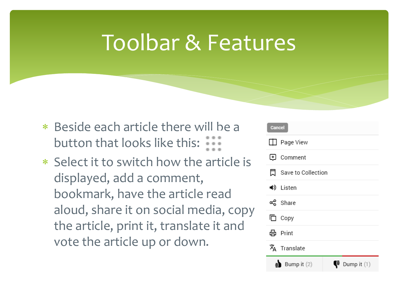## Toolbar & Features

- \* Beside each article there will be a button that looks like this:
- Select it to switch how the article is displayed, add a comment, bookmark, have the article read aloud, share it on social media, copy the article, print it, translate it and vote the article up or down.

| <b>Cancel</b>              |
|----------------------------|
| Page View                  |
| U Comment                  |
| Save to Collection<br>♬    |
| ◀) Listen                  |
| දේ Share                   |
| $\square$ Copy             |
| <b>品</b> Print             |
| $\bar{x}_A$ Translate      |
| Bump it (2)<br>Dump it (1) |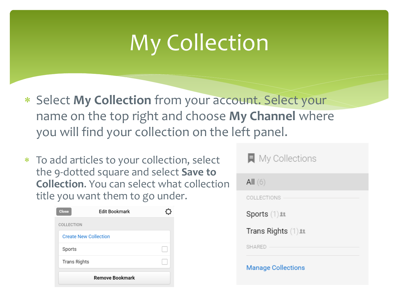# My Collection

- Select **My Collection** from your account. Select your name on the top right and choose **My Channel** where you will find your collection on the left panel.
- To add articles to your collection, select the 9-dotted square and select **Save to Collection**. You can select what collection title you want them to go under.

| <b>Close</b>                 | <b>Edit Bookmark</b>   |  |
|------------------------------|------------------------|--|
| COLLECTION                   |                        |  |
| <b>Create New Collection</b> |                        |  |
| Sports                       |                        |  |
| <b>Trans Rights</b>          |                        |  |
|                              | <b>Remove Bookmark</b> |  |

| All(6)                            |
|-----------------------------------|
| COLLECTIONS                       |
| $Sports$ $(1)$ $\&$               |
| Trans Rights $(1)$ $\mathfrak{u}$ |
| <b>SHARED</b>                     |
| <b>Manage Collections</b>         |

 $\blacksquare$  My Collections